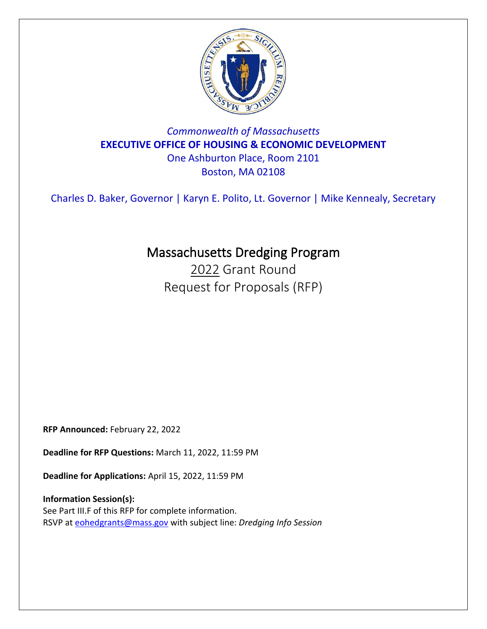

## *Commonwealth of Massachusetts* **EXECUTIVE OFFICE OF HOUSING & ECONOMIC DEVELOPMENT** One Ashburton Place, Room 2101

Boston, MA 02108

Charles D. Baker, Governor | Karyn E. Polito, Lt. Governor | Mike Kennealy, Secretary

# Massachusetts Dredging Program

2022 Grant Round Request for Proposals (RFP)

**RFP Announced:** February 22, 2022

**Deadline for RFP Questions:** March 11, 2022, 11:59 PM

**Deadline for Applications:** April 15, 2022, 11:59 PM

**Information Session(s):** See Part III.F of this RFP for complete information. RSVP at [eohedgrants@mass.gov](mailto:eohedgrants@mass.gov) with subject line: *Dredging Info Session*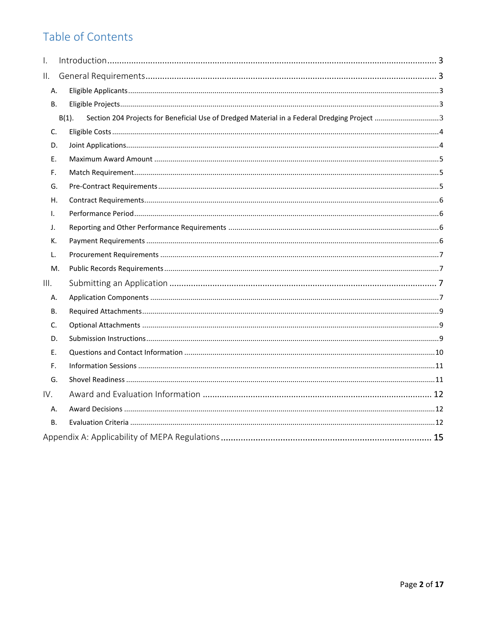# Table of Contents

| I.        |                                                                                                         |  |
|-----------|---------------------------------------------------------------------------------------------------------|--|
| ΙΙ.       |                                                                                                         |  |
| Α.        |                                                                                                         |  |
| <b>B.</b> |                                                                                                         |  |
|           | Section 204 Projects for Beneficial Use of Dredged Material in a Federal Dredging Project 3<br>$B(1)$ . |  |
| C.        |                                                                                                         |  |
| D.        |                                                                                                         |  |
| E.        |                                                                                                         |  |
| F.        |                                                                                                         |  |
| G.        |                                                                                                         |  |
| Η.        |                                                                                                         |  |
| I.        |                                                                                                         |  |
| J.        |                                                                                                         |  |
| К.        |                                                                                                         |  |
| L.        |                                                                                                         |  |
| М.        |                                                                                                         |  |
| III.      |                                                                                                         |  |
| А.        |                                                                                                         |  |
| В.        |                                                                                                         |  |
| C.        |                                                                                                         |  |
| D.        |                                                                                                         |  |
| Ε.        |                                                                                                         |  |
| F.        |                                                                                                         |  |
| G.        |                                                                                                         |  |
| IV.       |                                                                                                         |  |
| А.        |                                                                                                         |  |
| <b>B.</b> |                                                                                                         |  |
|           |                                                                                                         |  |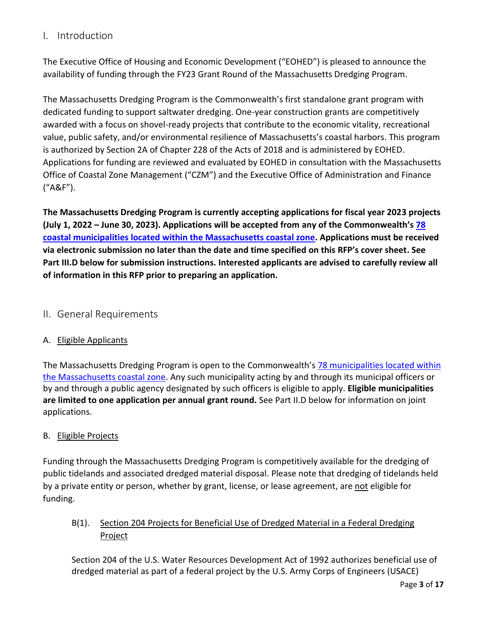## <span id="page-2-0"></span>I. Introduction

The Executive Office of Housing and Economic Development ("EOHED") is pleased to announce the availability of funding through the FY23 Grant Round of the Massachusetts Dredging Program.

The Massachusetts Dredging Program is the Commonwealth's first standalone grant program with dedicated funding to support saltwater dredging. One-year construction grants are competitively awarded with a focus on shovel-ready projects that contribute to the economic vitality, recreational value, public safety, and/or environmental resilience of Massachusetts's coastal harbors. This program is authorized by Section 2A of Chapter 228 of the Acts of 2018 and is administered by EOHED. Applications for funding are reviewed and evaluated by EOHED in consultation with the Massachusetts Office of Coastal Zone Management ("CZM") and the Executive Office of Administration and Finance ("A&F").

**The Massachusetts Dredging Program is currently accepting applications for fiscal year 2023 projects (July 1, 2022 – June 30, 2023). Applications will be accepted from any of the Commonwealth's [78](http://www.mass.gov/service-details/czm-regions-coastal-communities-and-coastal-zone-boundary)  coastal municipalities [located within the Massachusetts coastal zone.](http://www.mass.gov/service-details/czm-regions-coastal-communities-and-coastal-zone-boundary) Applications must be received via electronic submission no later than the date and time specified on this RFP's cover sheet. See Part III.D below for submission instructions. Interested applicants are advised to carefully review all of information in this RFP prior to preparing an application.**

## <span id="page-2-1"></span>II. General Requirements

## <span id="page-2-2"></span>A. Eligible Applicants

The Massachusetts Dredging Program is open to the Commonwealth's [78 municipalities located within](http://www.mass.gov/service-details/czm-regions-coastal-communities-and-coastal-zone-boundary)  [the Massachusetts coastal zone.](http://www.mass.gov/service-details/czm-regions-coastal-communities-and-coastal-zone-boundary) Any such municipality acting by and through its municipal officers or by and through a public agency designated by such officers is eligible to apply. **Eligible municipalities are limited to one application per annual grant round.** See Part II.D below for information on joint applications.

## <span id="page-2-3"></span>B. Eligible Projects

Funding through the Massachusetts Dredging Program is competitively available for the dredging of public tidelands and associated dredged material disposal. Please note that dredging of tidelands held by a private entity or person, whether by grant, license, or lease agreement, are not eligible for funding.

<span id="page-2-4"></span>B(1). Section 204 Projects for Beneficial Use of Dredged Material in a Federal Dredging Project

Section 204 of the U.S. Water Resources Development Act of 1992 authorizes beneficial use of dredged material as part of a federal project by the U.S. Army Corps of Engineers (USACE)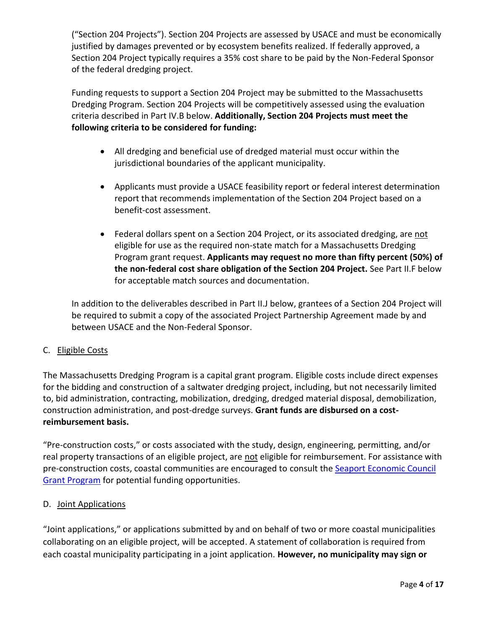("Section 204 Projects"). Section 204 Projects are assessed by USACE and must be economically justified by damages prevented or by ecosystem benefits realized. If federally approved, a Section 204 Project typically requires a 35% cost share to be paid by the Non-Federal Sponsor of the federal dredging project.

Funding requests to support a Section 204 Project may be submitted to the Massachusetts Dredging Program. Section 204 Projects will be competitively assessed using the evaluation criteria described in Part IV.B below. **Additionally, Section 204 Projects must meet the following criteria to be considered for funding:**

- All dredging and beneficial use of dredged material must occur within the jurisdictional boundaries of the applicant municipality.
- Applicants must provide a USACE feasibility report or federal interest determination report that recommends implementation of the Section 204 Project based on a benefit-cost assessment.
- Federal dollars spent on a Section 204 Project, or its associated dredging, are not eligible for use as the required non-state match for a Massachusetts Dredging Program grant request. **Applicants may request no more than fifty percent (50%) of the non-federal cost share obligation of the Section 204 Project.** See Part II.F below for acceptable match sources and documentation.

In addition to the deliverables described in Part II.J below, grantees of a Section 204 Project will be required to submit a copy of the associated Project Partnership Agreement made by and between USACE and the Non-Federal Sponsor.

## <span id="page-3-0"></span>C. Eligible Costs

The Massachusetts Dredging Program is a capital grant program. Eligible costs include direct expenses for the bidding and construction of a saltwater dredging project, including, but not necessarily limited to, bid administration, contracting, mobilization, dredging, dredged material disposal, demobilization, construction administration, and post-dredge surveys. **Grant funds are disbursed on a costreimbursement basis.**

"Pre-construction costs," or costs associated with the study, design, engineering, permitting, and/or real property transactions of an eligible project, are not eligible for reimbursement. For assistance with pre-construction costs, coastal communities are encouraged to consult the [Seaport Economic Council](https://www.mass.gov/how-to/apply-for-a-seaport-economic-council-grant)  [Grant Program](https://www.mass.gov/how-to/apply-for-a-seaport-economic-council-grant) for potential funding opportunities.

## <span id="page-3-1"></span>D. Joint Applications

"Joint applications," or applications submitted by and on behalf of two or more coastal municipalities collaborating on an eligible project, will be accepted. A statement of collaboration is required from each coastal municipality participating in a joint application. **However, no municipality may sign or**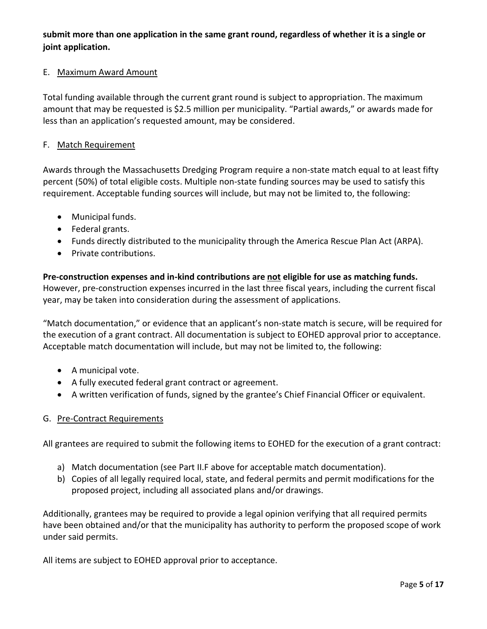**submit more than one application in the same grant round, regardless of whether it is a single or joint application.**

## <span id="page-4-0"></span>E. Maximum Award Amount

Total funding available through the current grant round is subject to appropriation. The maximum amount that may be requested is \$2.5 million per municipality. "Partial awards," or awards made for less than an application's requested amount, may be considered.

#### <span id="page-4-1"></span>F. Match Requirement

Awards through the Massachusetts Dredging Program require a non-state match equal to at least fifty percent (50%) of total eligible costs. Multiple non-state funding sources may be used to satisfy this requirement. Acceptable funding sources will include, but may not be limited to, the following:

- Municipal funds.
- Federal grants.
- Funds directly distributed to the municipality through the America Rescue Plan Act (ARPA).
- Private contributions.

**Pre-construction expenses and in-kind contributions are not eligible for use as matching funds.** However, pre-construction expenses incurred in the last three fiscal years, including the current fiscal year, may be taken into consideration during the assessment of applications.

"Match documentation," or evidence that an applicant's non-state match is secure, will be required for the execution of a grant contract. All documentation is subject to EOHED approval prior to acceptance. Acceptable match documentation will include, but may not be limited to, the following:

- A municipal vote.
- A fully executed federal grant contract or agreement.
- A written verification of funds, signed by the grantee's Chief Financial Officer or equivalent.

## <span id="page-4-2"></span>G. Pre-Contract Requirements

All grantees are required to submit the following items to EOHED for the execution of a grant contract:

- a) Match documentation (see Part II.F above for acceptable match documentation).
- b) Copies of all legally required local, state, and federal permits and permit modifications for the proposed project, including all associated plans and/or drawings.

Additionally, grantees may be required to provide a legal opinion verifying that all required permits have been obtained and/or that the municipality has authority to perform the proposed scope of work under said permits.

All items are subject to EOHED approval prior to acceptance.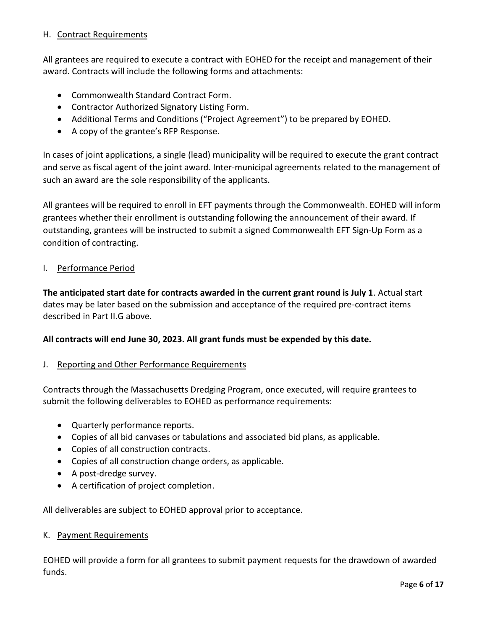## <span id="page-5-0"></span>H. Contract Requirements

All grantees are required to execute a contract with EOHED for the receipt and management of their award. Contracts will include the following forms and attachments:

- Commonwealth Standard Contract Form.
- Contractor Authorized Signatory Listing Form.
- Additional Terms and Conditions ("Project Agreement") to be prepared by EOHED.
- A copy of the grantee's RFP Response.

In cases of joint applications, a single (lead) municipality will be required to execute the grant contract and serve as fiscal agent of the joint award. Inter-municipal agreements related to the management of such an award are the sole responsibility of the applicants.

All grantees will be required to enroll in EFT payments through the Commonwealth. EOHED will inform grantees whether their enrollment is outstanding following the announcement of their award. If outstanding, grantees will be instructed to submit a signed Commonwealth EFT Sign-Up Form as a condition of contracting.

## <span id="page-5-1"></span>I. Performance Period

**The anticipated start date for contracts awarded in the current grant round is July 1**. Actual start dates may be later based on the submission and acceptance of the required pre-contract items described in Part II.G above.

## **All contracts will end June 30, 2023. All grant funds must be expended by this date.**

## <span id="page-5-2"></span>J. Reporting and Other Performance Requirements

Contracts through the Massachusetts Dredging Program, once executed, will require grantees to submit the following deliverables to EOHED as performance requirements:

- Quarterly performance reports.
- Copies of all bid canvases or tabulations and associated bid plans, as applicable.
- Copies of all construction contracts.
- Copies of all construction change orders, as applicable.
- A post-dredge survey.
- A certification of project completion.

All deliverables are subject to EOHED approval prior to acceptance.

#### <span id="page-5-3"></span>K. Payment Requirements

EOHED will provide a form for all grantees to submit payment requests for the drawdown of awarded funds.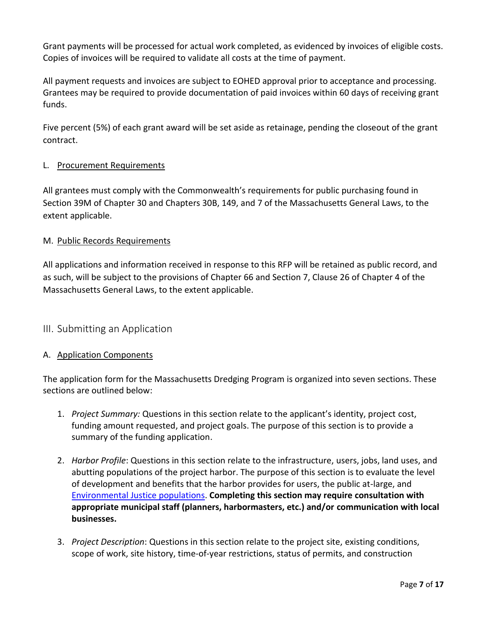Grant payments will be processed for actual work completed, as evidenced by invoices of eligible costs. Copies of invoices will be required to validate all costs at the time of payment.

All payment requests and invoices are subject to EOHED approval prior to acceptance and processing. Grantees may be required to provide documentation of paid invoices within 60 days of receiving grant funds.

Five percent (5%) of each grant award will be set aside as retainage, pending the closeout of the grant contract.

## <span id="page-6-0"></span>L. Procurement Requirements

All grantees must comply with the Commonwealth's requirements for public purchasing found in Section 39M of Chapter 30 and Chapters 30B, 149, and 7 of the Massachusetts General Laws, to the extent applicable.

## <span id="page-6-1"></span>M. Public Records Requirements

All applications and information received in response to this RFP will be retained as public record, and as such, will be subject to the provisions of Chapter 66 and Section 7, Clause 26 of Chapter 4 of the Massachusetts General Laws, to the extent applicable.

## <span id="page-6-2"></span>III. Submitting an Application

## <span id="page-6-3"></span>A. Application Components

The application form for the Massachusetts Dredging Program is organized into seven sections. These sections are outlined below:

- 1. *Project Summary:* Questions in this section relate to the applicant's identity, project cost, funding amount requested, and project goals. The purpose of this section is to provide a summary of the funding application.
- 2. *Harbor Profile*: Questions in this section relate to the infrastructure, users, jobs, land uses, and abutting populations of the project harbor. The purpose of this section is to evaluate the level of development and benefits that the harbor provides for users, the public at-large, and [Environmental Justice populations.](https://www.mass.gov/info-details/environmental-justice-populations-in-massachusetts) **Completing this section may require consultation with appropriate municipal staff (planners, harbormasters, etc.) and/or communication with local businesses.**
- 3. *Project Description*: Questions in this section relate to the project site, existing conditions, scope of work, site history, time-of-year restrictions, status of permits, and construction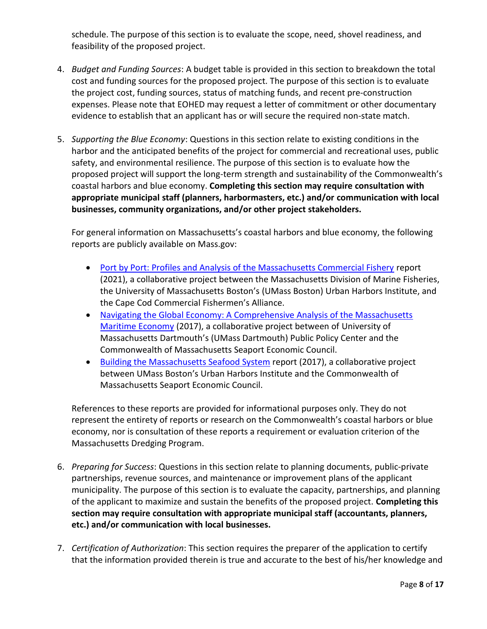schedule. The purpose of this section is to evaluate the scope, need, shovel readiness, and feasibility of the proposed project.

- 4. *Budget and Funding Sources*: A budget table is provided in this section to breakdown the total cost and funding sources for the proposed project. The purpose of this section is to evaluate the project cost, funding sources, status of matching funds, and recent pre-construction expenses. Please note that EOHED may request a letter of commitment or other documentary evidence to establish that an applicant has or will secure the required non-state match.
- 5. *Supporting the Blue Economy*: Questions in this section relate to existing conditions in the harbor and the anticipated benefits of the project for commercial and recreational uses, public safety, and environmental resilience. The purpose of this section is to evaluate how the proposed project will support the long-term strength and sustainability of the Commonwealth's coastal harbors and blue economy. **Completing this section may require consultation with appropriate municipal staff (planners, harbormasters, etc.) and/or communication with local businesses, community organizations, and/or other project stakeholders.**

For general information on Massachusetts's coastal harbors and blue economy, the following reports are publicly available on Mass.gov:

- [Port by Port: Profiles and Analysis of the Massachusetts Commercial Fishery](https://www.mass.gov/lists/port-profile-project) report (2021), a collaborative project between the Massachusetts Division of Marine Fisheries, the University of Massachusetts Boston's (UMass Boston) Urban Harbors Institute, and the Cape Cod Commercial Fishermen's Alliance.
- [Navigating the Global Economy: A Comprehensive Analysis of the Massachusetts](https://www.mass.gov/lists/seaport-economic-council-resources)  [Maritime Economy](https://www.mass.gov/lists/seaport-economic-council-resources) (2017), a collaborative project between of University of Massachusetts Dartmouth's (UMass Dartmouth) Public Policy Center and the Commonwealth of Massachusetts Seaport Economic Council.
- [Building the Massachusetts Seafood System](https://www.mass.gov/lists/seaport-economic-council-resources) report (2017), a collaborative project between UMass Boston's Urban Harbors Institute and the Commonwealth of Massachusetts Seaport Economic Council.

References to these reports are provided for informational purposes only. They do not represent the entirety of reports or research on the Commonwealth's coastal harbors or blue economy, nor is consultation of these reports a requirement or evaluation criterion of the Massachusetts Dredging Program.

- 6. *Preparing for Success*: Questions in this section relate to planning documents, public-private partnerships, revenue sources, and maintenance or improvement plans of the applicant municipality. The purpose of this section is to evaluate the capacity, partnerships, and planning of the applicant to maximize and sustain the benefits of the proposed project. **Completing this section may require consultation with appropriate municipal staff (accountants, planners, etc.) and/or communication with local businesses.**
- 7. *Certification of Authorization*: This section requires the preparer of the application to certify that the information provided therein is true and accurate to the best of his/her knowledge and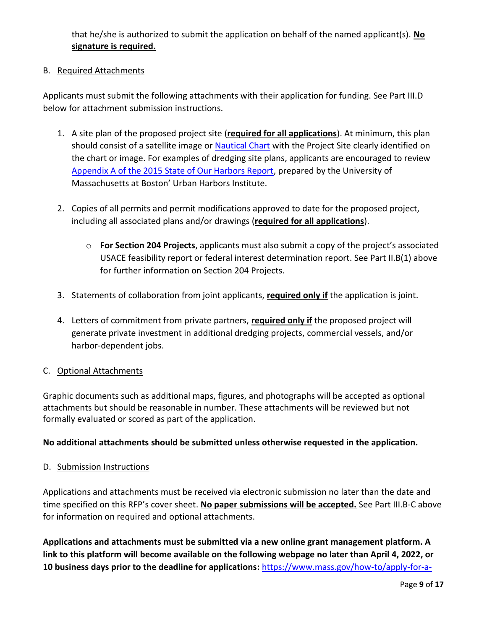that he/she is authorized to submit the application on behalf of the named applicant(s). **No signature is required.**

## <span id="page-8-0"></span>B. Required Attachments

Applicants must submit the following attachments with their application for funding. See Part III.D below for attachment submission instructions.

- 1. A site plan of the proposed project site (**required for all applications**). At minimum, this plan should consist of a satellite image or [Nautical Chart](https://nauticalcharts.noaa.gov/rnconline/rnconline.html) with the Project Site clearly identified on the chart or image. For examples of dredging site plans, applicants are encouraged to review [Appendix A of the 2015 State of Our Harbors Report,](http://archives.lib.state.ma.us/handle/2452/724259) prepared by the University of Massachusetts at Boston' Urban Harbors Institute.
- 2. Copies of all permits and permit modifications approved to date for the proposed project, including all associated plans and/or drawings (**required for all applications**).
	- o **For Section 204 Projects**, applicants must also submit a copy of the project's associated USACE feasibility report or federal interest determination report. See Part II.B(1) above for further information on Section 204 Projects.
- 3. Statements of collaboration from joint applicants, **required only if** the application is joint.
- 4. Letters of commitment from private partners, **required only if** the proposed project will generate private investment in additional dredging projects, commercial vessels, and/or harbor-dependent jobs.

## <span id="page-8-1"></span>C. Optional Attachments

Graphic documents such as additional maps, figures, and photographs will be accepted as optional attachments but should be reasonable in number. These attachments will be reviewed but not formally evaluated or scored as part of the application.

## **No additional attachments should be submitted unless otherwise requested in the application.**

<span id="page-8-2"></span>D. Submission Instructions

Applications and attachments must be received via electronic submission no later than the date and time specified on this RFP's cover sheet. **No paper submissions will be accepted.** See Part III.B-C above for information on required and optional attachments.

**Applications and attachments must be submitted via a new online grant management platform. A link to this platform will become available on the following webpage no later than April 4, 2022, or 10 business days prior to the deadline for applications:** [https://www.mass.gov/how-to/apply-for-a-](https://www.mass.gov/how-to/apply-for-a-massachusetts-dredging-grant)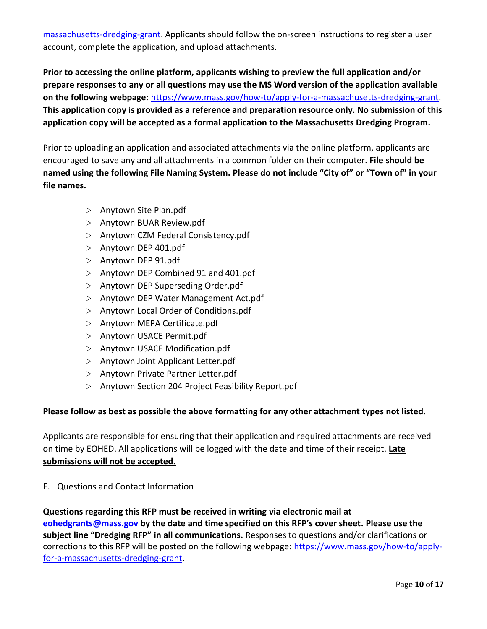[massachusetts-dredging-grant.](https://www.mass.gov/how-to/apply-for-a-massachusetts-dredging-grant) Applicants should follow the on-screen instructions to register a user account, complete the application, and upload attachments.

**Prior to accessing the online platform, applicants wishing to preview the full application and/or prepare responses to any or all questions may use the MS Word version of the application available on the following webpage:** [https://www.mass.gov/how-to/apply-for-a-massachusetts-dredging-grant.](https://www.mass.gov/how-to/apply-for-a-massachusetts-dredging-grant) **This application copy is provided as a reference and preparation resource only. No submission of this application copy will be accepted as a formal application to the Massachusetts Dredging Program.** 

Prior to uploading an application and associated attachments via the online platform, applicants are encouraged to save any and all attachments in a common folder on their computer. **File should be named using the following File Naming System. Please do not include "City of" or "Town of" in your file names.**

- > Anytown Site Plan.pdf
- > Anytown BUAR Review.pdf
- > Anytown CZM Federal Consistency.pdf
- > Anytown DEP 401.pdf
- > Anytown DEP 91.pdf
- > Anytown DEP Combined 91 and 401.pdf
- > Anytown DEP Superseding Order.pdf
- > Anytown DEP Water Management Act.pdf
- > Anytown Local Order of Conditions.pdf
- > Anytown MEPA Certificate.pdf
- > Anytown USACE Permit.pdf
- > Anytown USACE Modification.pdf
- > Anytown Joint Applicant Letter.pdf
- > Anytown Private Partner Letter.pdf
- > Anytown Section 204 Project Feasibility Report.pdf

## **Please follow as best as possible the above formatting for any other attachment types not listed.**

Applicants are responsible for ensuring that their application and required attachments are received on time by EOHED. All applications will be logged with the date and time of their receipt. **Late submissions will not be accepted.**

<span id="page-9-0"></span>E. Questions and Contact Information

**Questions regarding this RFP must be received in writing via electronic mail at [eohedgrants@mass.gov](mailto:eohedgrants@mass.gov) by the date and time specified on this RFP's cover sheet. Please use the subject line "Dredging RFP" in all communications.** Responses to questions and/or clarifications or corrections to this RFP will be posted on the following webpage: [https://www.mass.gov/how-to/apply](https://www.mass.gov/how-to/apply-for-a-massachusetts-dredging-grant)[for-a-massachusetts-dredging-grant.](https://www.mass.gov/how-to/apply-for-a-massachusetts-dredging-grant)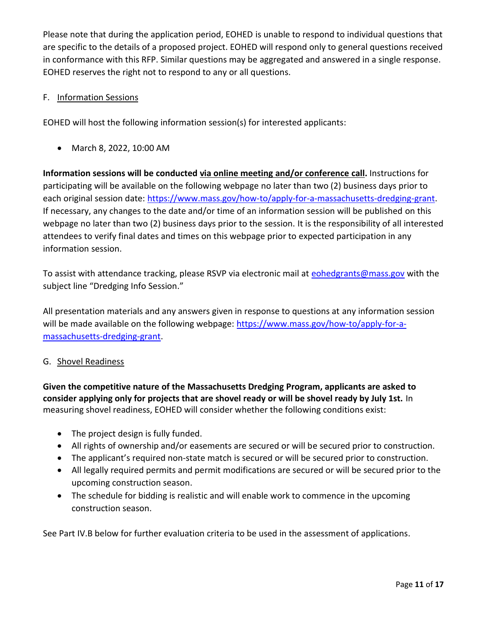Please note that during the application period, EOHED is unable to respond to individual questions that are specific to the details of a proposed project. EOHED will respond only to general questions received in conformance with this RFP. Similar questions may be aggregated and answered in a single response. EOHED reserves the right not to respond to any or all questions.

## <span id="page-10-0"></span>F. Information Sessions

EOHED will host the following information session(s) for interested applicants:

• March 8, 2022, 10:00 AM

**Information sessions will be conducted via online meeting and/or conference call.** Instructions for participating will be available on the following webpage no later than two (2) business days prior to each original session date: [https://www.mass.gov/how-to/apply-for-a-massachusetts-dredging-grant.](https://www.mass.gov/how-to/apply-for-a-massachusetts-dredging-grant) If necessary, any changes to the date and/or time of an information session will be published on this webpage no later than two (2) business days prior to the session. It is the responsibility of all interested attendees to verify final dates and times on this webpage prior to expected participation in any information session.

To assist with attendance tracking, please RSVP via electronic mail at [eohedgrants@mass.gov](mailto:eohedgrants@mass.gov) with the subject line "Dredging Info Session."

All presentation materials and any answers given in response to questions at any information session will be made available on the following webpage: [https://www.mass.gov/how-to/apply-for-a](https://www.mass.gov/how-to/apply-for-a-massachusetts-dredging-grant)[massachusetts-dredging-grant.](https://www.mass.gov/how-to/apply-for-a-massachusetts-dredging-grant)

## <span id="page-10-1"></span>G. Shovel Readiness

**Given the competitive nature of the Massachusetts Dredging Program, applicants are asked to consider applying only for projects that are shovel ready or will be shovel ready by July 1st.** In measuring shovel readiness, EOHED will consider whether the following conditions exist:

- The project design is fully funded.
- All rights of ownership and/or easements are secured or will be secured prior to construction.
- The applicant's required non-state match is secured or will be secured prior to construction.
- All legally required permits and permit modifications are secured or will be secured prior to the upcoming construction season.
- The schedule for bidding is realistic and will enable work to commence in the upcoming construction season.

See Part IV.B below for further evaluation criteria to be used in the assessment of applications.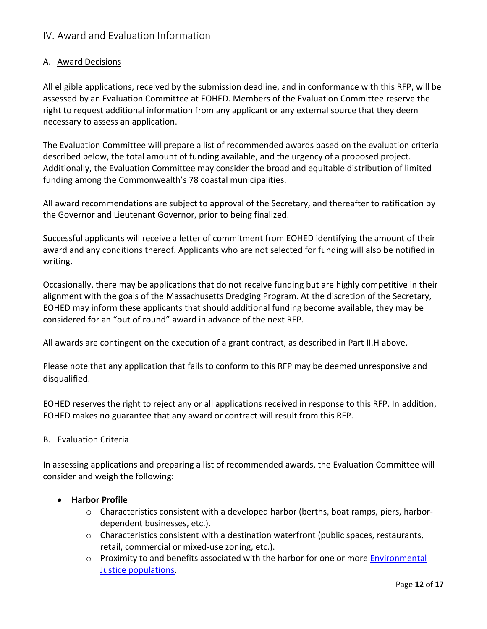## <span id="page-11-0"></span>IV. Award and Evaluation Information

## <span id="page-11-1"></span>A. Award Decisions

All eligible applications, received by the submission deadline, and in conformance with this RFP, will be assessed by an Evaluation Committee at EOHED. Members of the Evaluation Committee reserve the right to request additional information from any applicant or any external source that they deem necessary to assess an application.

The Evaluation Committee will prepare a list of recommended awards based on the evaluation criteria described below, the total amount of funding available, and the urgency of a proposed project. Additionally, the Evaluation Committee may consider the broad and equitable distribution of limited funding among the Commonwealth's 78 coastal municipalities.

All award recommendations are subject to approval of the Secretary, and thereafter to ratification by the Governor and Lieutenant Governor, prior to being finalized.

Successful applicants will receive a letter of commitment from EOHED identifying the amount of their award and any conditions thereof. Applicants who are not selected for funding will also be notified in writing.

Occasionally, there may be applications that do not receive funding but are highly competitive in their alignment with the goals of the Massachusetts Dredging Program. At the discretion of the Secretary, EOHED may inform these applicants that should additional funding become available, they may be considered for an "out of round" award in advance of the next RFP.

All awards are contingent on the execution of a grant contract, as described in Part II.H above.

Please note that any application that fails to conform to this RFP may be deemed unresponsive and disqualified.

EOHED reserves the right to reject any or all applications received in response to this RFP. In addition, EOHED makes no guarantee that any award or contract will result from this RFP.

## <span id="page-11-2"></span>B. Evaluation Criteria

In assessing applications and preparing a list of recommended awards, the Evaluation Committee will consider and weigh the following:

## • **Harbor Profile**

- $\circ$  Characteristics consistent with a developed harbor (berths, boat ramps, piers, harbordependent businesses, etc.).
- $\circ$  Characteristics consistent with a destination waterfront (public spaces, restaurants, retail, commercial or mixed-use zoning, etc.).
- o Proximity to and benefits associated with the harbor for one or more **Environmental** [Justice populations.](https://www.mass.gov/info-details/environmental-justice-communities-in-massachusetts)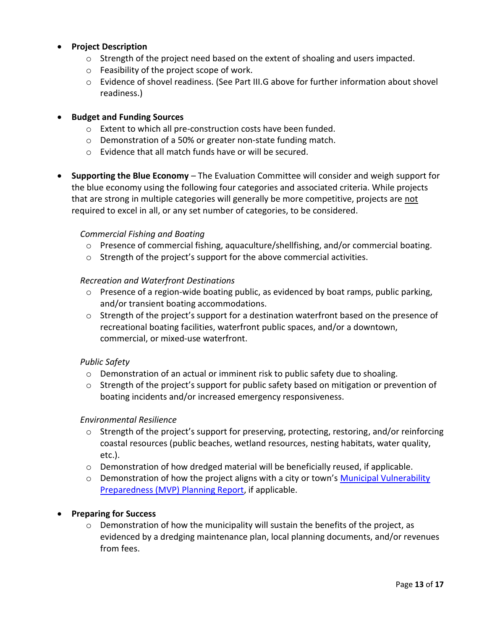#### • **Project Description**

- $\circ$  Strength of the project need based on the extent of shoaling and users impacted.
- o Feasibility of the project scope of work.
- o Evidence of shovel readiness. (See Part III.G above for further information about shovel readiness.)

## • **Budget and Funding Sources**

- o Extent to which all pre-construction costs have been funded.
- o Demonstration of a 50% or greater non-state funding match.
- o Evidence that all match funds have or will be secured.
- **Supporting the Blue Economy** *–* The Evaluation Committee will consider and weigh support for the blue economy using the following four categories and associated criteria. While projects that are strong in multiple categories will generally be more competitive, projects are not required to excel in all, or any set number of categories, to be considered.

#### *Commercial Fishing and Boating*

- o Presence of commercial fishing, aquaculture/shellfishing, and/or commercial boating.
- o Strength of the project's support for the above commercial activities.

#### *Recreation and Waterfront Destinations*

- o Presence of a region-wide boating public, as evidenced by boat ramps, public parking, and/or transient boating accommodations.
- $\circ$  Strength of the project's support for a destination waterfront based on the presence of recreational boating facilities, waterfront public spaces, and/or a downtown, commercial, or mixed-use waterfront.

## *Public Safety*

- $\circ$  Demonstration of an actual or imminent risk to public safety due to shoaling.
- $\circ$  Strength of the project's support for public safety based on mitigation or prevention of boating incidents and/or increased emergency responsiveness.

#### *Environmental Resilience*

- o Strength of the project's support for preserving, protecting, restoring, and/or reinforcing coastal resources (public beaches, wetland resources, nesting habitats, water quality, etc.).
- o Demonstration of how dredged material will be beneficially reused, if applicable.
- $\circ$  Demonstration of how the project aligns with a city or town's Municipal Vulnerability [Preparedness \(MVP\) Planning Report,](https://www.mass.gov/info-details/municipal-vulnerability-preparedness-mvp-program-planning-reports) if applicable.

## • **Preparing for Success**

 $\circ$  Demonstration of how the municipality will sustain the benefits of the project, as evidenced by a dredging maintenance plan, local planning documents, and/or revenues from fees.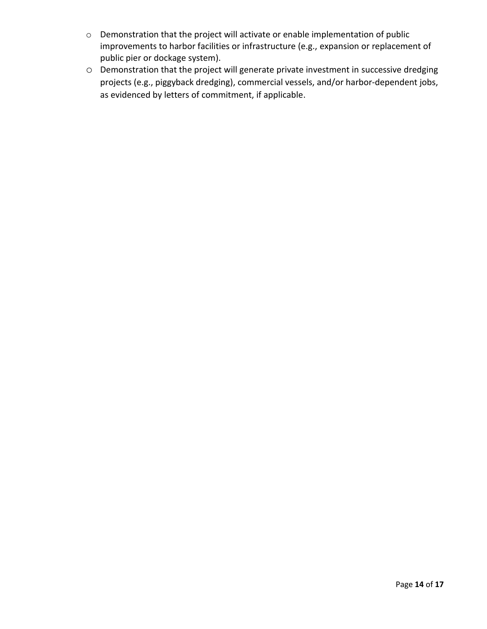- o Demonstration that the project will activate or enable implementation of public improvements to harbor facilities or infrastructure (e.g., expansion or replacement of public pier or dockage system).
- o Demonstration that the project will generate private investment in successive dredging projects (e.g., piggyback dredging), commercial vessels, and/or harbor-dependent jobs, as evidenced by letters of commitment, if applicable.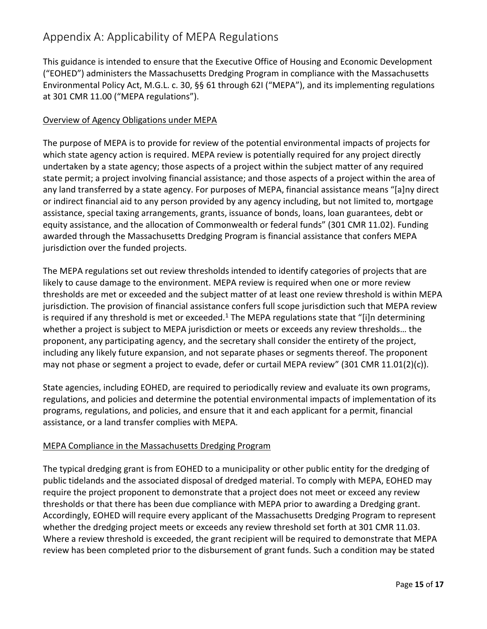## <span id="page-14-0"></span>Appendix A: Applicability of MEPA Regulations

This guidance is intended to ensure that the Executive Office of Housing and Economic Development ("EOHED") administers the Massachusetts Dredging Program in compliance with the Massachusetts Environmental Policy Act, M.G.L. c. 30, §§ 61 through 62I ("MEPA"), and its implementing regulations at 301 CMR 11.00 ("MEPA regulations").

## Overview of Agency Obligations under MEPA

The purpose of MEPA is to provide for review of the potential environmental impacts of projects for which state agency action is required. MEPA review is potentially required for any project directly undertaken by a state agency; those aspects of a project within the subject matter of any required state permit; a project involving financial assistance; and those aspects of a project within the area of any land transferred by a state agency. For purposes of MEPA, financial assistance means "[a]ny direct or indirect financial aid to any person provided by any agency including, but not limited to, mortgage assistance, special taxing arrangements, grants, issuance of bonds, loans, loan guarantees, debt or equity assistance, and the allocation of Commonwealth or federal funds" (301 CMR 11.02). Funding awarded through the Massachusetts Dredging Program is financial assistance that confers MEPA jurisdiction over the funded projects.

The MEPA regulations set out review thresholds intended to identify categories of projects that are likely to cause damage to the environment. MEPA review is required when one or more review thresholds are met or exceeded and the subject matter of at least one review threshold is within MEPA jurisdiction. The provision of financial assistance confers full scope jurisdiction such that MEPA review is required if any threshold is met or exceeded.<sup>1</sup> The MEPA regulations state that "[i]n determining whether a project is subject to MEPA jurisdiction or meets or exceeds any review thresholds… the proponent, any participating agency, and the secretary shall consider the entirety of the project, including any likely future expansion, and not separate phases or segments thereof. The proponent may not phase or segment a project to evade, defer or curtail MEPA review" (301 CMR 11.01(2)(c)).

State agencies, including EOHED, are required to periodically review and evaluate its own programs, regulations, and policies and determine the potential environmental impacts of implementation of its programs, regulations, and policies, and ensure that it and each applicant for a permit, financial assistance, or a land transfer complies with MEPA.

## MEPA Compliance in the Massachusetts Dredging Program

The typical dredging grant is from EOHED to a municipality or other public entity for the dredging of public tidelands and the associated disposal of dredged material. To comply with MEPA, EOHED may require the project proponent to demonstrate that a project does not meet or exceed any review thresholds or that there has been due compliance with MEPA prior to awarding a Dredging grant. Accordingly, EOHED will require every applicant of the Massachusetts Dredging Program to represent whether the dredging project meets or exceeds any review threshold set forth at 301 CMR 11.03. Where a review threshold is exceeded, the grant recipient will be required to demonstrate that MEPA review has been completed prior to the disbursement of grant funds. Such a condition may be stated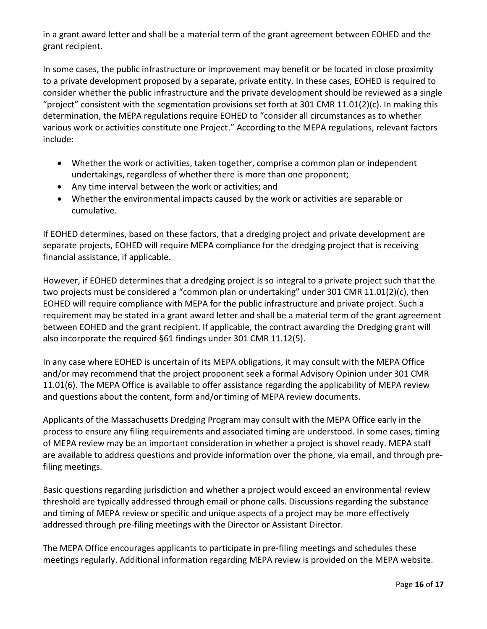in a grant award letter and shall be a material term of the grant agreement between EOHED and the grant recipient.

In some cases, the public infrastructure or improvement may benefit or be located in close proximity to a private development proposed by a separate, private entity. In these cases, EOHED is required to consider whether the public infrastructure and the private development should be reviewed as a single "project" consistent with the segmentation provisions set forth at 301 CMR 11.01(2)(c). In making this determination, the MEPA regulations require EOHED to "consider all circumstances as to whether various work or activities constitute one Project." According to the MEPA regulations, relevant factors include:

- Whether the work or activities, taken together, comprise a common plan or independent undertakings, regardless of whether there is more than one proponent;
- Any time interval between the work or activities; and
- Whether the environmental impacts caused by the work or activities are separable or cumulative.

If EOHED determines, based on these factors, that a dredging project and private development are separate projects, EOHED will require MEPA compliance for the dredging project that is receiving financial assistance, if applicable.

However, if EOHED determines that a dredging project is so integral to a private project such that the two projects must be considered a "common plan or undertaking" under 301 CMR 11.01(2)(c), then EOHED will require compliance with MEPA for the public infrastructure and private project. Such a requirement may be stated in a grant award letter and shall be a material term of the grant agreement between EOHED and the grant recipient. If applicable, the contract awarding the Dredging grant will also incorporate the required §61 findings under 301 CMR 11.12(5).

In any case where EOHED is uncertain of its MEPA obligations, it may consult with the MEPA Office and/or may recommend that the project proponent seek a formal Advisory Opinion under 301 CMR 11.01(6). The MEPA Office is available to offer assistance regarding the applicability of MEPA review and questions about the content, form and/or timing of MEPA review documents.

Applicants of the Massachusetts Dredging Program may consult with the MEPA Office early in the process to ensure any filing requirements and associated timing are understood. In some cases, timing of MEPA review may be an important consideration in whether a project is shovel ready. MEPA staff are available to address questions and provide information over the phone, via email, and through prefiling meetings.

Basic questions regarding jurisdiction and whether a project would exceed an environmental review threshold are typically addressed through email or phone calls. Discussions regarding the substance and timing of MEPA review or specific and unique aspects of a project may be more effectively addressed through pre-filing meetings with the Director or Assistant Director.

The MEPA Office encourages applicants to participate in pre-filing meetings and schedules these meetings regularly. Additional information regarding MEPA review is provided on the MEPA website.